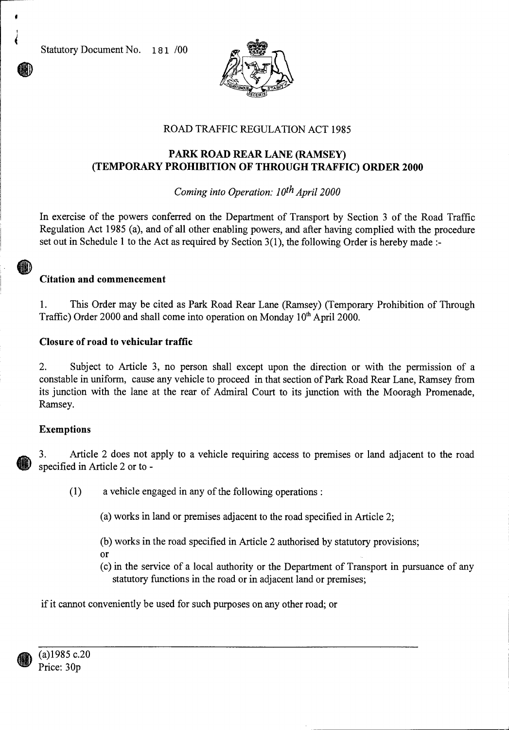Statutory Document No. 181 /00



# ROAD TRAFFIC REGULATION ACT 1985

## **PARK ROAD REAR LANE (RAMSEY) (TEMPORARY PROHIBITION OF THROUGH TRAFFIC) ORDER 2000**

## *Coming into Operation: 10th April 2000*

In exercise of the powers conferred on the Department of Transport by Section 3 of the Road Traffic Regulation Act 1985 (a), and of all other enabling powers, and after having complied with the procedure set out in Schedule 1 to the Act as required by Section 3(1), the following Order is hereby made :-

### **Citation and commencement**

1. This Order may be cited as Park Road Rear Lane (Ramsey) (Temporary Prohibition of Through Traffic) Order 2000 and shall come into operation on Monday  $10<sup>th</sup>$  April 2000.

### **Closure of road to vehicular traffic**

2. Subject to Article 3, no person shall except upon the direction or with the permission of a constable in uniform, cause any vehicle to proceed in that section of Park Road Rear Lane, Ramsey from its junction with the lane at the rear of Admiral Court to its junction with the Mooragh Promenade, Ramsey.

### **Exemptions**

**AND** 

3. Article 2 does not apply to a vehicle requiring access to premises or land adjacent to the road specified in Article 2 or to -

- (1) a vehicle engaged in any of the following operations :
	- (a) works in land or premises adjacent to the road specified in Article 2;
	- (b) works in the road specified in Article 2 authorised by statutory provisions;
	- Or
	- (c) in the service of a local authority or the Department of Transport in pursuance of any statutory functions in the road or in adjacent land or premises;

if it cannot conveniently be used for such purposes on any other road; or